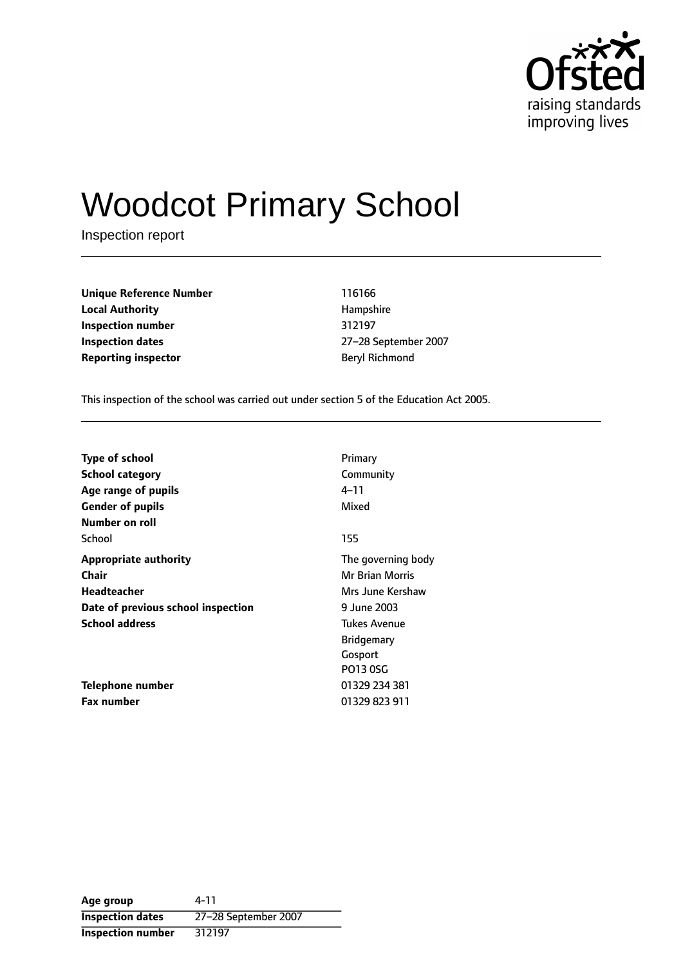

# Woodcot Primary School

Inspection report

**Unique Reference Number** 116166 **Local Authority Hampshire Inspection number** 312197 **Inspection dates** 27-28 September 2007 **Reporting inspector Beryl Richmond** 

This inspection of the school was carried out under section 5 of the Education Act 2005.

| Type of school                     | Primary                |
|------------------------------------|------------------------|
| <b>School category</b>             | Community              |
| Age range of pupils                | 4–11                   |
| <b>Gender of pupils</b>            | Mixed                  |
| Number on roll                     |                        |
| School                             | 155                    |
| <b>Appropriate authority</b>       | The governing body     |
| Chair                              | <b>Mr Brian Morris</b> |
| Headteacher                        | Mrs June Kershaw       |
| Date of previous school inspection | 9 June 2003            |
| <b>School address</b>              | Tukes Avenue           |
|                                    | <b>Bridgemary</b>      |
|                                    | Gosport                |
|                                    | <b>PO13 0SG</b>        |
| Telephone number                   | 01329 234 381          |
| <b>Fax number</b>                  | 01329 823 911          |

**Age group** 4-11 **Inspection dates** 27-28 September 2007 **Inspection number** 312197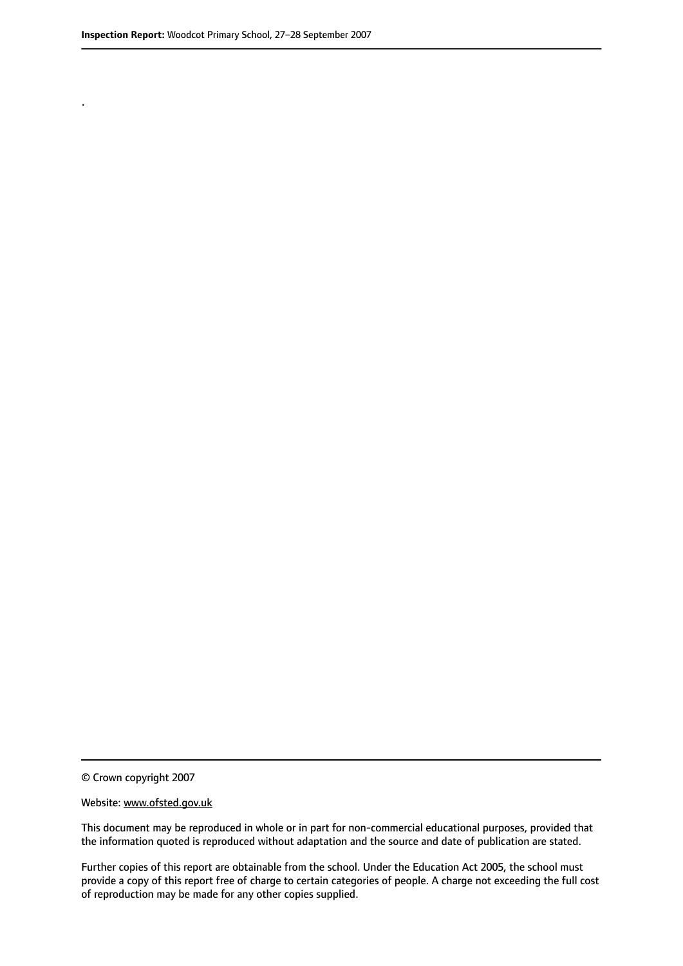.

© Crown copyright 2007

#### Website: www.ofsted.gov.uk

This document may be reproduced in whole or in part for non-commercial educational purposes, provided that the information quoted is reproduced without adaptation and the source and date of publication are stated.

Further copies of this report are obtainable from the school. Under the Education Act 2005, the school must provide a copy of this report free of charge to certain categories of people. A charge not exceeding the full cost of reproduction may be made for any other copies supplied.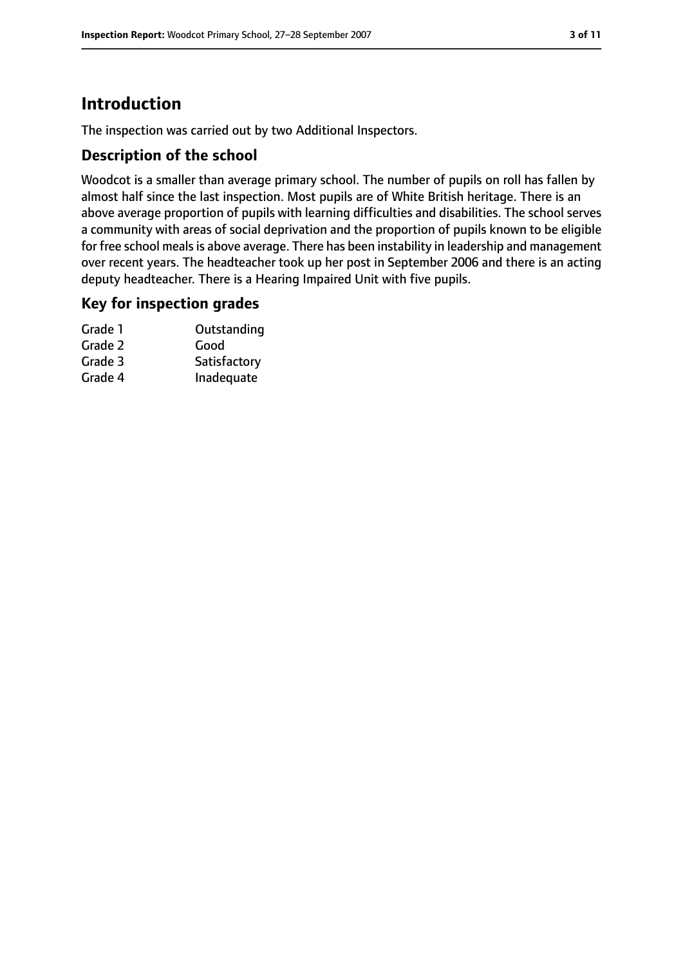## **Introduction**

The inspection was carried out by two Additional Inspectors.

#### **Description of the school**

Woodcot is a smaller than average primary school. The number of pupils on roll has fallen by almost half since the last inspection. Most pupils are of White British heritage. There is an above average proportion of pupils with learning difficulties and disabilities. The school serves a community with areas of social deprivation and the proportion of pupils known to be eligible for free school meals is above average. There has been instability in leadership and management over recent years. The headteacher took up her post in September 2006 and there is an acting deputy headteacher. There is a Hearing Impaired Unit with five pupils.

#### **Key for inspection grades**

| Grade 1 | Outstanding  |
|---------|--------------|
| Grade 2 | Good         |
| Grade 3 | Satisfactory |
| Grade 4 | Inadequate   |
|         |              |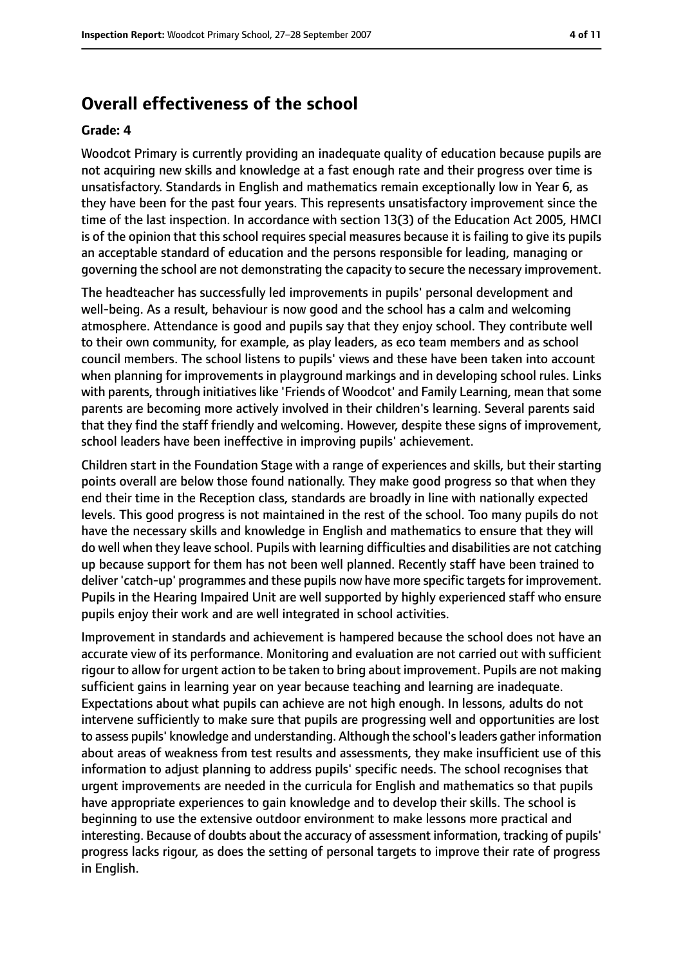## **Overall effectiveness of the school**

#### **Grade: 4**

Woodcot Primary is currently providing an inadequate quality of education because pupils are not acquiring new skills and knowledge at a fast enough rate and their progress over time is unsatisfactory. Standards in English and mathematics remain exceptionally low in Year 6, as they have been for the past four years. This represents unsatisfactory improvement since the time of the last inspection. In accordance with section 13(3) of the Education Act 2005, HMCI is of the opinion that this school requires special measures because it is failing to give its pupils an acceptable standard of education and the persons responsible for leading, managing or governing the school are not demonstrating the capacity to secure the necessary improvement.

The headteacher has successfully led improvements in pupils' personal development and well-being. As a result, behaviour is now good and the school has a calm and welcoming atmosphere. Attendance is good and pupils say that they enjoy school. They contribute well to their own community, for example, as play leaders, as eco team members and as school council members. The school listens to pupils' views and these have been taken into account when planning for improvements in playground markings and in developing school rules. Links with parents, through initiatives like 'Friends of Woodcot' and Family Learning, mean that some parents are becoming more actively involved in their children's learning. Several parents said that they find the staff friendly and welcoming. However, despite these signs of improvement, school leaders have been ineffective in improving pupils' achievement.

Children start in the Foundation Stage with a range of experiences and skills, but their starting points overall are below those found nationally. They make good progress so that when they end their time in the Reception class, standards are broadly in line with nationally expected levels. This good progress is not maintained in the rest of the school. Too many pupils do not have the necessary skills and knowledge in English and mathematics to ensure that they will do well when they leave school. Pupils with learning difficulties and disabilities are not catching up because support for them has not been well planned. Recently staff have been trained to deliver 'catch-up' programmes and these pupils now have more specific targetsfor improvement. Pupils in the Hearing Impaired Unit are well supported by highly experienced staff who ensure pupils enjoy their work and are well integrated in school activities.

Improvement in standards and achievement is hampered because the school does not have an accurate view of its performance. Monitoring and evaluation are not carried out with sufficient rigour to allow for urgent action to be taken to bring about improvement. Pupils are not making sufficient gains in learning year on year because teaching and learning are inadequate. Expectations about what pupils can achieve are not high enough. In lessons, adults do not intervene sufficiently to make sure that pupils are progressing well and opportunities are lost to assess pupils' knowledge and understanding. Although the school'sleaders gather information about areas of weakness from test results and assessments, they make insufficient use of this information to adjust planning to address pupils' specific needs. The school recognises that urgent improvements are needed in the curricula for English and mathematics so that pupils have appropriate experiences to gain knowledge and to develop their skills. The school is beginning to use the extensive outdoor environment to make lessons more practical and interesting. Because of doubts about the accuracy of assessment information, tracking of pupils' progress lacks rigour, as does the setting of personal targets to improve their rate of progress in English.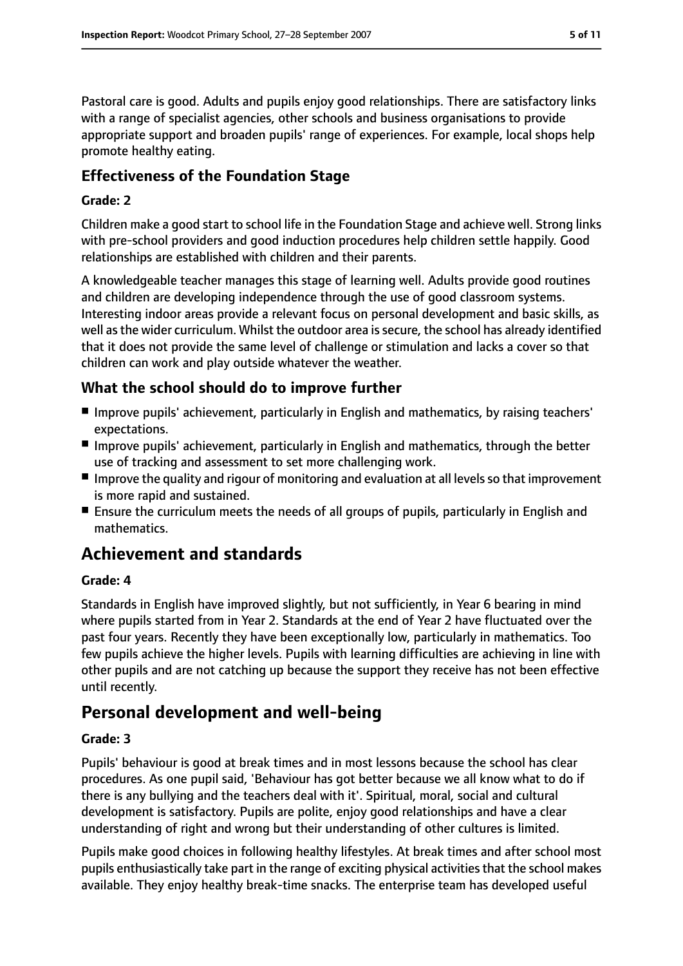Pastoral care is good. Adults and pupils enjoy good relationships. There are satisfactory links with a range of specialist agencies, other schools and business organisations to provide appropriate support and broaden pupils' range of experiences. For example, local shops help promote healthy eating.

### **Effectiveness of the Foundation Stage**

#### **Grade: 2**

Children make a good start to school life in the Foundation Stage and achieve well. Strong links with pre-school providers and good induction procedures help children settle happily. Good relationships are established with children and their parents.

A knowledgeable teacher manages this stage of learning well. Adults provide good routines and children are developing independence through the use of good classroom systems. Interesting indoor areas provide a relevant focus on personal development and basic skills, as well as the wider curriculum. Whilst the outdoor area is secure, the school has already identified that it does not provide the same level of challenge or stimulation and lacks a cover so that children can work and play outside whatever the weather.

## **What the school should do to improve further**

- Improve pupils' achievement, particularly in English and mathematics, by raising teachers' expectations.
- Improve pupils' achievement, particularly in English and mathematics, through the better use of tracking and assessment to set more challenging work.
- Improve the quality and rigour of monitoring and evaluation at all levels so that improvement is more rapid and sustained.
- Ensure the curriculum meets the needs of all groups of pupils, particularly in English and mathematics.

## **Achievement and standards**

#### **Grade: 4**

Standards in English have improved slightly, but not sufficiently, in Year 6 bearing in mind where pupils started from in Year 2. Standards at the end of Year 2 have fluctuated over the past four years. Recently they have been exceptionally low, particularly in mathematics. Too few pupils achieve the higher levels. Pupils with learning difficulties are achieving in line with other pupils and are not catching up because the support they receive has not been effective until recently.

## **Personal development and well-being**

#### **Grade: 3**

Pupils' behaviour is good at break times and in most lessons because the school has clear procedures. As one pupil said, 'Behaviour has got better because we all know what to do if there is any bullying and the teachers deal with it'. Spiritual, moral, social and cultural development is satisfactory. Pupils are polite, enjoy good relationships and have a clear understanding of right and wrong but their understanding of other cultures is limited.

Pupils make good choices in following healthy lifestyles. At break times and after school most pupils enthusiastically take part in the range of exciting physical activitiesthat the school makes available. They enjoy healthy break-time snacks. The enterprise team has developed useful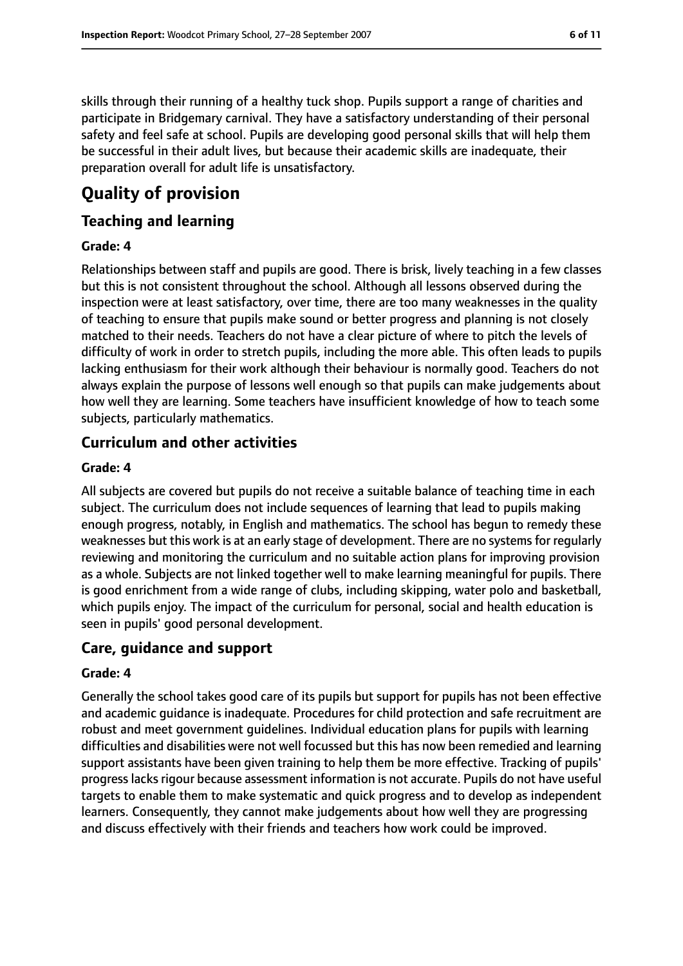skills through their running of a healthy tuck shop. Pupils support a range of charities and participate in Bridgemary carnival. They have a satisfactory understanding of their personal safety and feel safe at school. Pupils are developing good personal skills that will help them be successful in their adult lives, but because their academic skills are inadequate, their preparation overall for adult life is unsatisfactory.

# **Quality of provision**

#### **Teaching and learning**

#### **Grade: 4**

Relationships between staff and pupils are good. There is brisk, lively teaching in a few classes but this is not consistent throughout the school. Although all lessons observed during the inspection were at least satisfactory, over time, there are too many weaknesses in the quality of teaching to ensure that pupils make sound or better progress and planning is not closely matched to their needs. Teachers do not have a clear picture of where to pitch the levels of difficulty of work in order to stretch pupils, including the more able. This often leads to pupils lacking enthusiasm for their work although their behaviour is normally good. Teachers do not always explain the purpose of lessons well enough so that pupils can make judgements about how well they are learning. Some teachers have insufficient knowledge of how to teach some subjects, particularly mathematics.

#### **Curriculum and other activities**

#### **Grade: 4**

All subjects are covered but pupils do not receive a suitable balance of teaching time in each subject. The curriculum does not include sequences of learning that lead to pupils making enough progress, notably, in English and mathematics. The school has begun to remedy these weaknesses but this work is at an early stage of development. There are no systemsfor regularly reviewing and monitoring the curriculum and no suitable action plans for improving provision as a whole. Subjects are not linked together well to make learning meaningful for pupils. There is good enrichment from a wide range of clubs, including skipping, water polo and basketball, which pupils enjoy. The impact of the curriculum for personal, social and health education is seen in pupils' good personal development.

#### **Care, guidance and support**

#### **Grade: 4**

Generally the school takes good care of its pupils but support for pupils has not been effective and academic guidance is inadequate. Procedures for child protection and safe recruitment are robust and meet government guidelines. Individual education plans for pupils with learning difficulties and disabilities were not well focussed but this has now been remedied and learning support assistants have been given training to help them be more effective. Tracking of pupils' progress lacks rigour because assessment information is not accurate. Pupils do not have useful targets to enable them to make systematic and quick progress and to develop as independent learners. Consequently, they cannot make judgements about how well they are progressing and discuss effectively with their friends and teachers how work could be improved.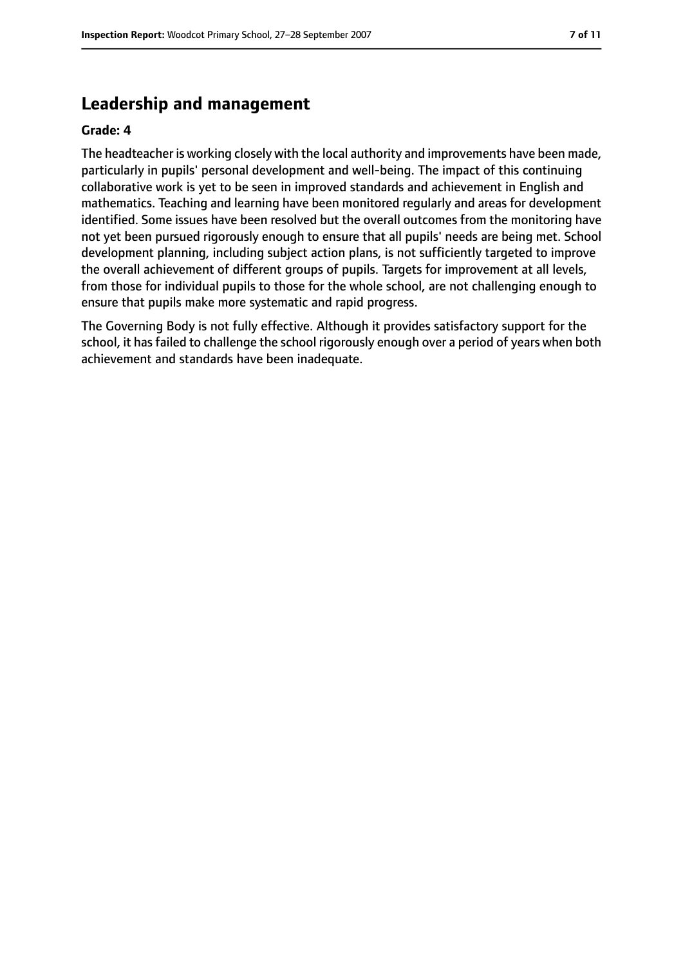## **Leadership and management**

#### **Grade: 4**

The headteacher is working closely with the local authority and improvements have been made, particularly in pupils' personal development and well-being. The impact of this continuing collaborative work is yet to be seen in improved standards and achievement in English and mathematics. Teaching and learning have been monitored regularly and areas for development identified. Some issues have been resolved but the overall outcomes from the monitoring have not yet been pursued rigorously enough to ensure that all pupils' needs are being met. School development planning, including subject action plans, is not sufficiently targeted to improve the overall achievement of different groups of pupils. Targets for improvement at all levels, from those for individual pupils to those for the whole school, are not challenging enough to ensure that pupils make more systematic and rapid progress.

The Governing Body is not fully effective. Although it provides satisfactory support for the school, it has failed to challenge the school rigorously enough over a period of years when both achievement and standards have been inadequate.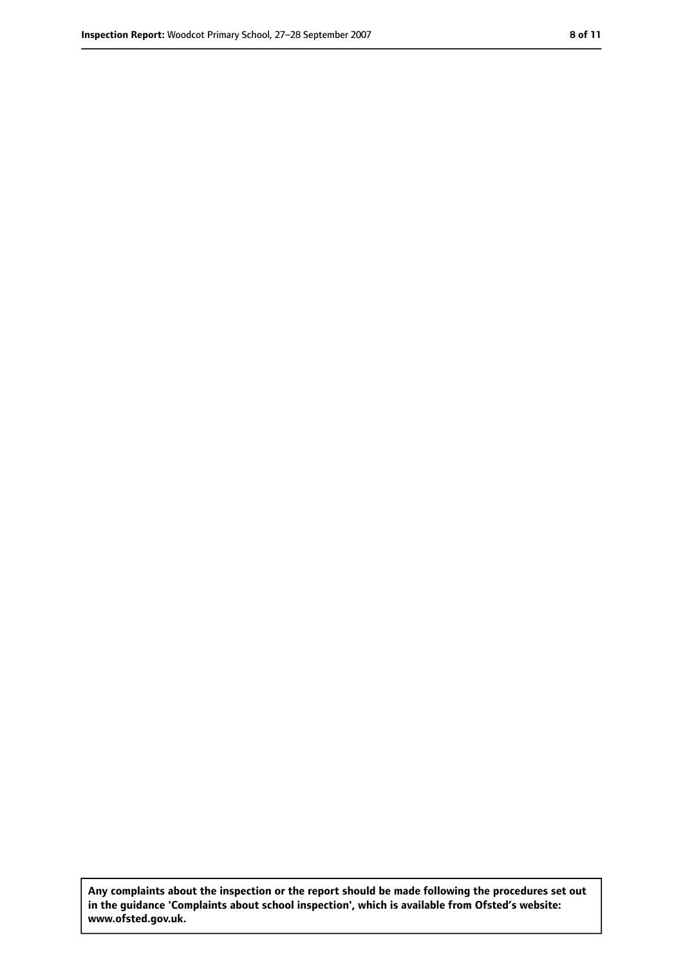**Any complaints about the inspection or the report should be made following the procedures set out in the guidance 'Complaints about school inspection', which is available from Ofsted's website: www.ofsted.gov.uk.**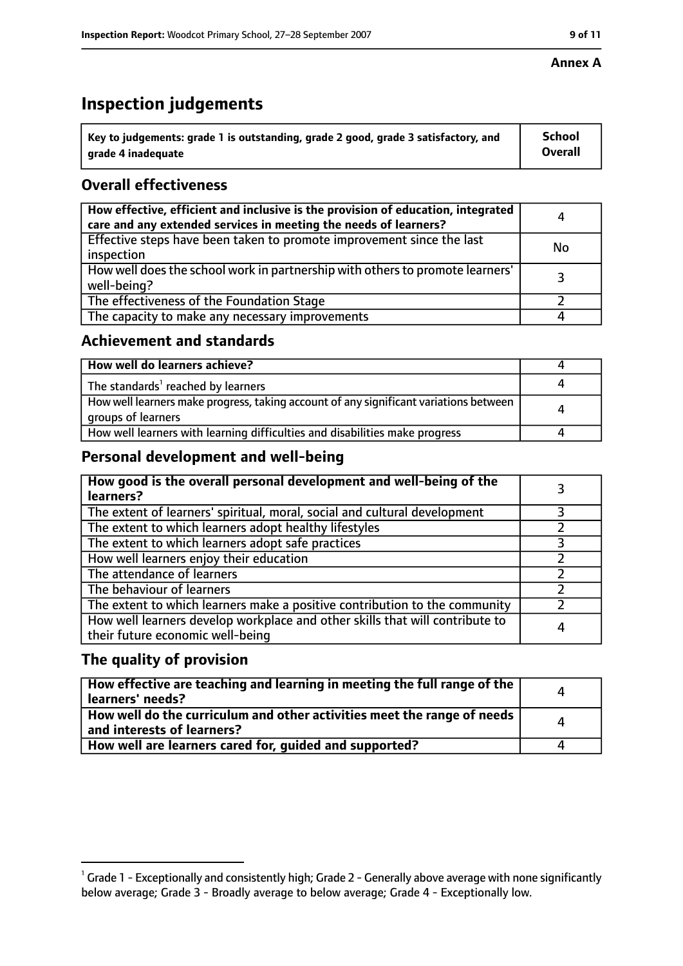# **Inspection judgements**

| $^{\backprime}$ Key to judgements: grade 1 is outstanding, grade 2 good, grade 3 satisfactory, and | <b>School</b>  |
|----------------------------------------------------------------------------------------------------|----------------|
| arade 4 inadeguate                                                                                 | <b>Overall</b> |

## **Overall effectiveness**

| How effective, efficient and inclusive is the provision of education, integrated<br>care and any extended services in meeting the needs of learners? | 4         |
|------------------------------------------------------------------------------------------------------------------------------------------------------|-----------|
| Effective steps have been taken to promote improvement since the last<br>inspection                                                                  | <b>No</b> |
| How well does the school work in partnership with others to promote learners'<br>well-being?                                                         | 3         |
| The effectiveness of the Foundation Stage                                                                                                            |           |
| The capacity to make any necessary improvements                                                                                                      |           |

#### **Achievement and standards**

| How well do learners achieve?                                                                               |  |
|-------------------------------------------------------------------------------------------------------------|--|
| The standards <sup>1</sup> reached by learners                                                              |  |
| How well learners make progress, taking account of any significant variations between<br>groups of learners |  |
| How well learners with learning difficulties and disabilities make progress                                 |  |

#### **Personal development and well-being**

| How good is the overall personal development and well-being of the<br>learners?                                  |  |
|------------------------------------------------------------------------------------------------------------------|--|
| The extent of learners' spiritual, moral, social and cultural development                                        |  |
| The extent to which learners adopt healthy lifestyles                                                            |  |
| The extent to which learners adopt safe practices                                                                |  |
| How well learners enjoy their education                                                                          |  |
| The attendance of learners                                                                                       |  |
| The behaviour of learners                                                                                        |  |
| The extent to which learners make a positive contribution to the community                                       |  |
| How well learners develop workplace and other skills that will contribute to<br>their future economic well-being |  |

### **The quality of provision**

| How effective are teaching and learning in meeting the full range of the<br>learners' needs?          |   |
|-------------------------------------------------------------------------------------------------------|---|
| How well do the curriculum and other activities meet the range of needs<br>and interests of learners? | Δ |
| How well are learners cared for, guided and supported?                                                |   |

 $^1$  Grade 1 - Exceptionally and consistently high; Grade 2 - Generally above average with none significantly below average; Grade 3 - Broadly average to below average; Grade 4 - Exceptionally low.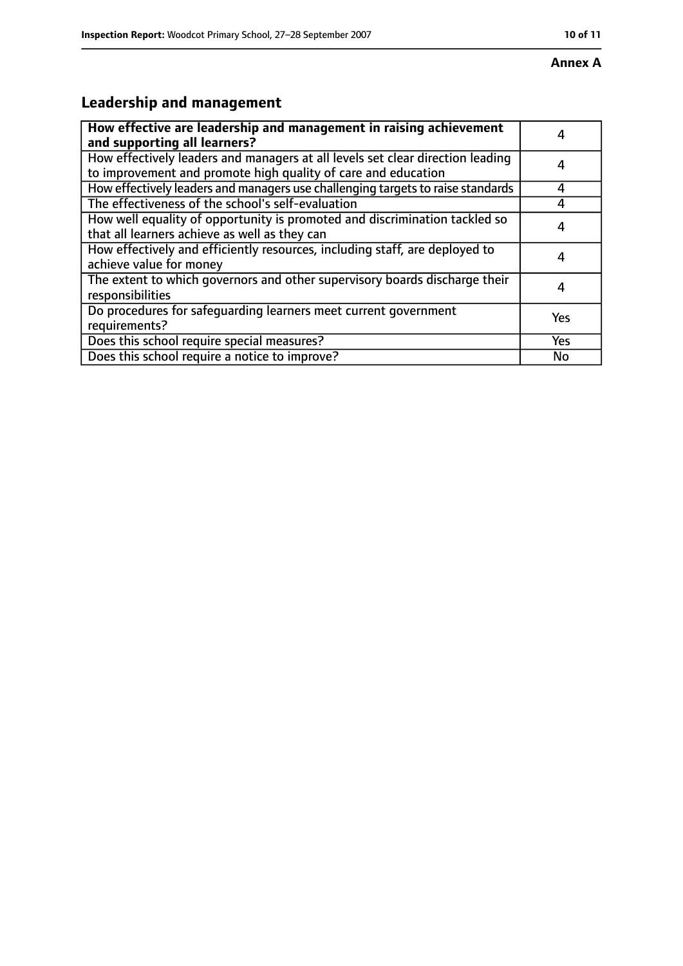# **Leadership and management**

| How effective are leadership and management in raising achievement<br>and supporting all learners?                                              |     |
|-------------------------------------------------------------------------------------------------------------------------------------------------|-----|
| How effectively leaders and managers at all levels set clear direction leading<br>to improvement and promote high quality of care and education |     |
| How effectively leaders and managers use challenging targets to raise standards                                                                 | 4   |
| The effectiveness of the school's self-evaluation                                                                                               |     |
| How well equality of opportunity is promoted and discrimination tackled so<br>that all learners achieve as well as they can                     | 4   |
| How effectively and efficiently resources, including staff, are deployed to<br>achieve value for money                                          | 4   |
| The extent to which governors and other supervisory boards discharge their<br>responsibilities                                                  | 4   |
| Do procedures for safequarding learners meet current government<br>requirements?                                                                | Yes |
| Does this school require special measures?                                                                                                      | Yes |
| Does this school require a notice to improve?                                                                                                   | No  |